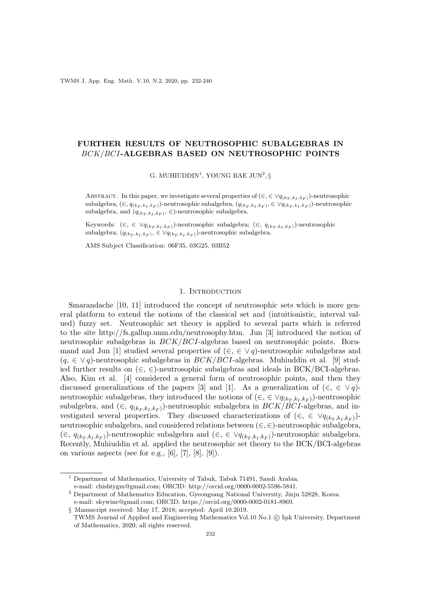TWMS J. App. Eng. Math. V.10, N.2, 2020, pp. 232-240

# FURTHER RESULTS OF NEUTROSOPHIC SUBALGEBRAS IN BCK/BCI-ALGEBRAS BASED ON NEUTROSOPHIC POINTS

G. MUHIUDDIN<sup>1</sup>, YOUNG BAE JUN<sup>2</sup>, §

ABSTRACT. In this paper, we investigate several properties of  $(\in, \in \forall q_{(k_T, k_I, k_F)})$ -neutrosophic subalgebra,  $(\in, q_{(k_T, k_I, k_F)})$ -neutrosophic subalgebra,  $(q_{(k_T, k_I, k_F)}, \in \vee q_{(k_T, k_I, k_F)})$ -neutrosophic subalgebra, and  $(q_{(k_T, k_I, k_F)}, \in)$ -neutrosophic subalgebra.

Keywords:  $(\in, \in \vee q_{(k_T, k_I, k_F)})$ -neutrosophic subalgebra;  $(\in, q_{(k_T, k_I, k_F)})$ -neutrosophic subalgebra;  $(q_{(k_T, k_I, k_F)}, \in \forall q_{(k_T, k_I, k_F)})$ -neutrosophic subalgebra.

AMS Subject Classification: 06F35, 03G25, 03B52

#### 1. INTRODUCTION

Smarandache [10, 11] introduced the concept of neutrosophic sets which is more general platform to extend the notions of the classical set and (intuitionistic, interval valued) fuzzy set. Neutrosophic set theory is applied to several parts which is referred to the site http://fs.gallup.unm.edu/neutrosophy.htm. Jun [3] introduced the notion of neutrosophic subalgebras in  $BCK/BCI$ -algebras based on neutrosophic points. Borumand and Jun [1] studied several properties of  $(\in, \in \vee q)$ -neutrosophic subalgebras and  $(q, \in \vee q)$ -neutrosophic subalgebras in  $BCK/BCI$ -algebras. Muhiuddin et al. [9] studied further results on  $(\in, \in)$ -neutrosophic subalgebras and ideals in BCK/BCI-algebras. Also, Kim et al. [4] considered a general form of neutrosophic points, and then they discussed generalizations of the papers [3] and [1]. As a generalization of  $(\in, \in \vee q)$ neutrosophic subalgebras, they introduced the notions of  $(\in, \in \vee q_{(k_T, k_I, k_F)})$ -neutrosophic subalgebra, and  $(\in, q_{(k_T, k_I, k_F)})$ -neutrosophic subalgebra in  $BCK/BCI$ -algebras, and investigated several properties. They discussed characterizations of  $(\in, \in \vee q_{(k_T, k_I, k_F)})$ neutrosophic subalgebra, and considered relations between  $(\in, \in)$ -neutrosophic subalgebra, (∈,  $q_{(k_T,k_I,k_F)}$ )-neutrosophic subalgebra and (∈, ∈  $\lor q_{(k_T,k_I,k_F)}$ )-neutrosophic subalgebra. Recently, Muhiuddin et al. applied the neutrosophic set theory to the BCK/BCI-algebras on various aspects (see for e.g.,  $[6]$ ,  $[7]$ ,  $[8]$ ,  $[9]$ ).

<sup>&</sup>lt;sup>1</sup> Department of Mathematics, University of Tabuk, Tabuk 71491, Saudi Arabia. e-mail: chishtygm@gmail.com; ORCID: http://orcid.org/0000-0002-5596-5841.

<sup>2</sup> Department of Mathematics Education, Gyeongsang National University, Jinju 52828, Korea.

e-mail: skywine@gmail.com; ORCID: https://orcid.org/0000-0002-0181-8969.

<sup>§</sup> Manuscript received: May 17, 2018; accepted: April 10.2019.

TWMS Journal of Applied and Engineering Mathematics Vol.10 No.1 (C) Işık University, Department of Mathematics, 2020; all rights reserved.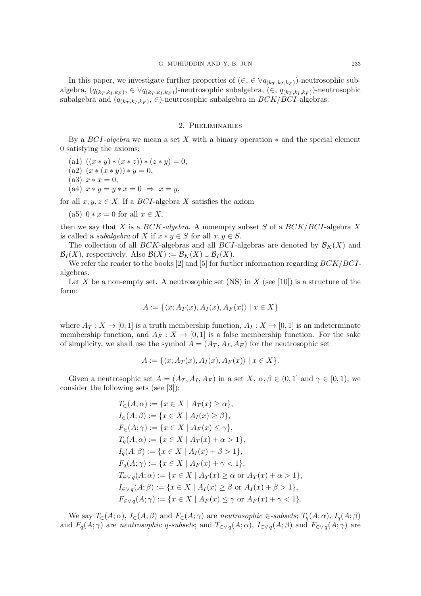In this paper, we investigate further properties of  $(\in, \in \vee q_{(k_T, k_I, k_F)})$ -neutrosophic subalgebra,  $(q_{(k_T,k_I,k_F)}, \in \vee q_{(k_T,k_I,k_F)})$ -neutrosophic subalgebra,  $(\in, q_{(k_T,k_I,k_F)})$ -neutrosophic subalgebra and  $(q_{(k_T, k_I, k_F)}, \in)$ -neutrosophic subalgebra in  $BCK/BCI$ -algebras.

## 2. Preliminaries

By a  $BCI-algebra$  we mean a set X with a binary operation  $*$  and the special element 0 satisfying the axioms:

- (a1)  $((x * y) * (x * z)) * (z * y) = 0,$
- (a2)  $(x * (x * y)) * y = 0$ ,
- (a3)  $x * x = 0$ ,
- (a4)  $x * y = y * x = 0 \Rightarrow x = y$ ,

for all  $x, y, z \in X$ . If a *BCI*-algebra X satisfies the axiom

(a5)  $0 * x = 0$  for all  $x \in X$ ,

then we say that X is a  $BCK$ -algebra. A nonempty subset S of a  $BCK/BCI$ -algebra X is called a *subalgebra* of X if  $x * y \in S$  for all  $x, y \in S$ .

The collection of all BCK-algebras and all BCI-algebras are denoted by  $\mathcal{B}_K(X)$  and  $\mathcal{B}_I(X)$ , respectively. Also  $\mathcal{B}(X) := \mathcal{B}_K(X) \cup \mathcal{B}_I(X)$ .

We refer the reader to the books [2] and [5] for further information regarding  $BCK/BCI$ algebras.

Let X be a non-empty set. A neutrosophic set (NS) in X (see [10]) is a structure of the form:

$$
A := \{ \langle x; A_T(x), A_I(x), A_F(x) \rangle \mid x \in X \}
$$

where  $A_T: X \to [0,1]$  is a truth membership function,  $A_I: X \to [0,1]$  is an indeterminate membership function, and  $A_F: X \to [0,1]$  is a false membership function. For the sake of simplicity, we shall use the symbol  $A = (A_T, A_I, A_F)$  for the neutrosophic set

$$
A := \{ \langle x; A_T(x), A_I(x), A_F(x) \rangle \mid x \in X \}.
$$

Given a neutrosophic set  $A = (A_T, A_T, A_F)$  in a set  $X, \alpha, \beta \in (0, 1]$  and  $\gamma \in [0, 1)$ , we consider the following sets (see [3]):

$$
T_{\in}(A; \alpha) := \{x \in X \mid A_T(x) \ge \alpha\},
$$
  
\n
$$
I_{\in}(A; \beta) := \{x \in X \mid A_I(x) \ge \beta\},
$$
  
\n
$$
F_{\in}(A; \gamma) := \{x \in X \mid A_F(x) \le \gamma\},
$$
  
\n
$$
T_q(A; \alpha) := \{x \in X \mid A_T(x) + \alpha > 1\},
$$
  
\n
$$
I_q(A; \beta) := \{x \in X \mid A_I(x) + \beta > 1\},
$$
  
\n
$$
F_q(A; \gamma) := \{x \in X \mid A_F(x) + \gamma < 1\},
$$
  
\n
$$
T_{\in \vee q}(A; \alpha) := \{x \in X \mid A_T(x) \ge \alpha \text{ or } A_T(x) + \alpha > 1\},
$$
  
\n
$$
I_{\in \vee q}(A; \beta) := \{x \in X \mid A_I(x) \ge \beta \text{ or } A_I(x) + \beta > 1\},
$$
  
\n
$$
F_{\in \vee q}(A; \gamma) := \{x \in X \mid A_F(x) \le \gamma \text{ or } A_F(x) + \gamma < 1\}.
$$

We say  $T_{\in}(A; \alpha)$ ,  $I_{\in}(A; \beta)$  and  $F_{\in}(A; \gamma)$  are neutrosophic  $\in$ -subsets;  $T_q(A; \alpha)$ ,  $I_q(A; \beta)$ and  $F_q(A; \gamma)$  are neutrosophic q-subsets; and  $T_{\in \vee q}(A; \alpha)$ ,  $I_{\in \vee q}(A; \beta)$  and  $F_{\in \vee q}(A; \gamma)$  are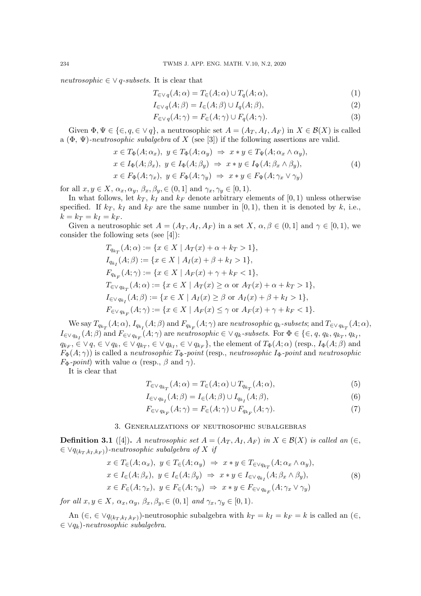neutrosophic  $\in \vee q$ -subsets. It is clear that

$$
T_{\in Vq}(A; \alpha) = T_{\in}(A; \alpha) \cup T_{q}(A; \alpha), \qquad (1)
$$

$$
I_{\in \vee q}(A;\beta) = I_{\in}(A;\beta) \cup I_{q}(A;\beta),\tag{2}
$$

$$
F_{\in \vee q}(A; \gamma) = F_{\in}(A; \gamma) \cup F_q(A; \gamma).
$$
\n(3)

Given  $\Phi, \Psi \in \{\in, q \in \vee q\}$ , a neutrosophic set  $A = (A_T, A_I, A_F)$  in  $X \in \mathcal{B}(X)$  is called a  $(\Phi, \Psi)$ -neutrosophic subalgebra of X (see [3]) if the following assertions are valid.

$$
x \in T_{\Phi}(A; \alpha_x), y \in T_{\Phi}(A; \alpha_y) \Rightarrow x * y \in T_{\Psi}(A; \alpha_x \wedge \alpha_y),
$$
  
\n
$$
x \in I_{\Phi}(A; \beta_x), y \in I_{\Phi}(A; \beta_y) \Rightarrow x * y \in I_{\Psi}(A; \beta_x \wedge \beta_y),
$$
  
\n
$$
x \in F_{\Phi}(A; \gamma_x), y \in F_{\Phi}(A; \gamma_y) \Rightarrow x * y \in F_{\Psi}(A; \gamma_x \vee \gamma_y)
$$
\n(4)

for all  $x, y \in X$ ,  $\alpha_x, \alpha_y, \beta_x, \beta_y \in (0, 1]$  and  $\gamma_x, \gamma_y \in [0, 1)$ .

In what follows, let  $k_T$ ,  $k_I$  and  $k_F$  denote arbitrary elements of [0, 1) unless otherwise specified. If  $k_T$ ,  $k_I$  and  $k_F$  are the same number in [0, 1], then it is denoted by k, i.e.,  $k = k_T = k_I = k_F.$ 

Given a neutrosophic set  $A = (A_T, A_I, A_F)$  in a set  $X, \alpha, \beta \in (0, 1]$  and  $\gamma \in [0, 1)$ , we consider the following sets (see [4]):

$$
T_{q_{k_T}}(A; \alpha) := \{x \in X \mid A_T(x) + \alpha + k_T > 1\},
$$
  
\n
$$
I_{q_{k_T}}(A; \beta) := \{x \in X \mid A_I(x) + \beta + k_I > 1\},
$$
  
\n
$$
F_{q_{k_F}}(A; \gamma) := \{x \in X \mid A_F(x) + \gamma + k_F < 1\},
$$
  
\n
$$
T_{\in \vee q_{k_T}}(A; \alpha) := \{x \in X \mid A_T(x) \ge \alpha \text{ or } A_T(x) + \alpha + k_T > 1\},
$$
  
\n
$$
I_{\in \vee q_{k_I}}(A; \beta) := \{x \in X \mid A_I(x) \ge \beta \text{ or } A_I(x) + \beta + k_I > 1\},
$$
  
\n
$$
F_{\in \vee q_{k_F}}(A; \gamma) := \{x \in X \mid A_F(x) \le \gamma \text{ or } A_F(x) + \gamma + k_F < 1\}.
$$

We say  $T_{q_{k_T}}(A;\alpha),$   $I_{q_{k_I}}(A;\beta)$  and  $F_{q_{k_F}}(A;\gamma)$  are neutrosophic  $q_k$ -subsets; and  $T_{\in\vee q_{k_T}}(A;\alpha),$  $I_{\in\vee q_{k_I}}(A;\beta)$  and  $F_{\in\vee q_{k_F}}(A;\gamma)$  are neutrosophic  $\in\vee q_k$ -subsets. For  $\Phi\in\{\in, q, q_k, q_{k_T}, q_{k_I}, q_{k_T}\}$  $q_{k_F}$ ,  $\in \vee q$ ,  $\in \vee q_{k}$ ,  $\in \vee q_{k_T}$ ,  $\in \vee q_{k_F}$ ,  $\in \vee q_{k_F}$ , the element of  $T_{\Phi}(A; \alpha)$  (resp.,  $I_{\Phi}(A; \beta)$  and  $F_{\Phi}(A;\gamma)$ ) is called a neutrosophic  $T_{\Phi}$ -point (resp., neutrosophic  $I_{\Phi}$ -point and neutrosophic  $F_{\Phi}$ -point) with value  $\alpha$  (resp.,  $\beta$  and  $\gamma$ ).

It is clear that

$$
T_{\in V q_{k_T}}(A; \alpha) = T_{\in}(A; \alpha) \cup T_{q_{k_T}}(A; \alpha), \qquad (5)
$$

$$
I_{\in \vee q_{k_I}}(A;\beta) = I_{\in}(A;\beta) \cup I_{q_{k_I}}(A;\beta),\tag{6}
$$

$$
F_{\in V\,q_{k_F}}(A;\gamma)=F_{\in}(A;\gamma)\cup F_{q_{k_F}}(A;\gamma). \tag{7}
$$

# 3. Generalizations of neutrosophic subalgebras

**Definition 3.1** ([4]). A neutrosophic set  $A = (A_T, A_I, A_F)$  in  $X \in \mathcal{B}(X)$  is called an  $(\in$ ,  $\in \vee q_{(k_T,k_I,k_F)})$ -neutrosophic subalgebra of X if

$$
x \in T_{\in}(A; \alpha_x), y \in T_{\in}(A; \alpha_y) \Rightarrow x * y \in T_{\in \vee q_{k_T}}(A; \alpha_x \wedge \alpha_y),
$$
  
\n
$$
x \in I_{\in}(A; \beta_x), y \in I_{\in}(A; \beta_y) \Rightarrow x * y \in I_{\in \vee q_{k_T}}(A; \beta_x \wedge \beta_y),
$$
  
\n
$$
x \in F_{\in}(A; \gamma_x), y \in F_{\in}(A; \gamma_y) \Rightarrow x * y \in F_{\in \vee q_{k_F}}(A; \gamma_x \vee \gamma_y)
$$
\n(8)

for all  $x, y \in X$ ,  $\alpha_x, \alpha_y, \beta_x, \beta_y \in (0, 1]$  and  $\gamma_x, \gamma_y \in [0, 1)$ .

An  $(\in, \in \forall q_{(k_T,k_I,k_F)})$ -neutrosophic subalgebra with  $k_T = k_I = k_F = k$  is called an  $(\in, \in \forall q_{(k_T,k_I,k_F)})$ -neutrosophic subalgebra with  $k_T = k_I = k_F = k$  is called an  $(\in, \infty)$  $\in \vee q_k$ )-neutrosophic subalgebra.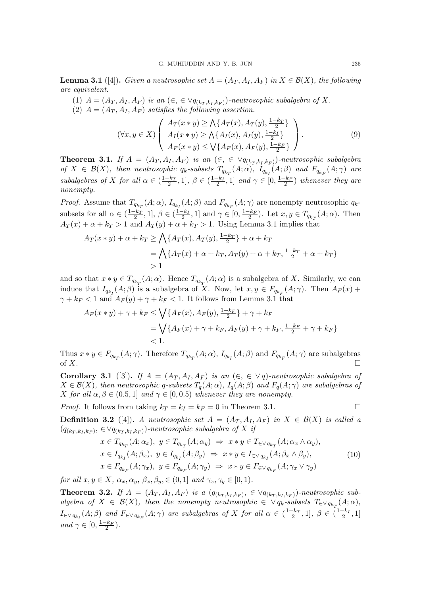**Lemma 3.1** ([4]). Given a neutrosophic set  $A = (A_T, A_I, A_F)$  in  $X \in \mathcal{B}(X)$ , the following are equivalent.

- (1)  $A = (A_T, A_I, A_F)$  is an  $(\epsilon, \epsilon \vee q_{(k_T, k_I, k_F)})$ -neutrosophic subalgebra of X.
- (2)  $A = (A_T, A_I, A_F)$  satisfies the following assertion.

$$
(\forall x, y \in X) \left( \begin{array}{c} A_T(x * y) \ge \bigwedge \{ A_T(x), A_T(y), \frac{1 - k_T}{2} \} \\ A_I(x * y) \ge \bigwedge \{ A_I(x), A_I(y), \frac{1 - k_I}{2} \} \\ A_F(x * y) \le \bigvee \{ A_F(x), A_F(y), \frac{1 - k_F}{2} \} \end{array} \right). \tag{9}
$$

**Theorem 3.1.** If  $A = (A_T, A_I, A_F)$  is an  $(\in, \in \forall q_{(k_T, k_I, k_F)})$ -neutrosophic subalgebra of  $X \in \mathcal{B}(X)$ , then neutrosophic  $q_k$ -subsets  $T_{q_{k_T}}(A; \alpha)$ ,  $I_{q_{k_I}}(A; \beta)$  and  $F_{q_{k_F}}(A; \gamma)$  are subalgebras of X for all  $\alpha \in (\frac{1-k_T}{2}, 1], \ \beta \in (\frac{1-k_I}{2}, 1]$  and  $\gamma \in [0, \frac{1-k_F}{2})$  whenever they are nonempty.

*Proof.* Assume that  $T_{q_{k_T}}(A; \alpha)$ ,  $I_{q_{k_I}}(A; \beta)$  and  $F_{q_{k_F}}(A; \gamma)$  are nonempty neutrosophic  $q_k$ subsets for all  $\alpha \in \left(\frac{1-k_T}{2}, 1\right], \beta \in \left(\frac{1-k_I}{2}, 1\right]$  and  $\gamma \in [0, \frac{1-k_F}{2})$ . Let  $x, y \in T_{q_{k_T}}(A; \alpha)$ . Then  $A_T(x) + \alpha + k_T > 1$  and  $A_T(y) + \alpha + k_T > 1$ . Using Lemma 3.1 implies that

$$
A_T(x * y) + \alpha + k_T \ge \bigwedge \{ A_T(x), A_T(y), \frac{1 - k_T}{2} \} + \alpha + k_T
$$
  
=  $\bigwedge \{ A_T(x) + \alpha + k_T, A_T(y) + \alpha + k_T, \frac{1 - k_T}{2} + \alpha + k_T \}$   
> 1

and so that  $x * y \in T_{q_{k_T}}(A; \alpha)$ . Hence  $T_{q_{k_T}}(A; \alpha)$  is a subalgebra of X. Similarly, we can induce that  $I_{q_{k_I}}(A;\beta)$  is a subalgebra of X. Now, let  $x, y \in F_{q_{k_F}}(A;\gamma)$ . Then  $A_F(x)$  +  $\gamma + k_F < 1$  and  $A_F(y) + \gamma + k_F < 1$ . It follows from Lemma 3.1 that

$$
A_F(x * y) + \gamma + k_F \le \bigvee \{ A_F(x), A_F(y), \frac{1 - k_F}{2} \} + \gamma + k_F
$$
  
=  $\bigvee \{ A_F(x) + \gamma + k_F, A_F(y) + \gamma + k_F, \frac{1 - k_F}{2} + \gamma + k_F \}$   
< 1.

Thus  $x * y \in F_{q_{k_F}}(A; \gamma)$ . Therefore  $T_{q_{k_T}}(A; \alpha)$ ,  $I_{q_{k_I}}(A; \beta)$  and  $F_{q_{k_F}}(A; \gamma)$  are subalgebras of  $X$ .

Corollary 3.1 ([3]). If  $A = (A_T, A_I, A_F)$  is an  $(\epsilon, \epsilon \vee q)$ -neutrosophic subalgebra of  $X \in \mathcal{B}(X)$ , then neutrosophic q-subsets  $T_q(A; \alpha)$ ,  $I_q(A; \beta)$  and  $F_q(A; \gamma)$  are subalgebras of X for all  $\alpha, \beta \in (0.5, 1]$  and  $\gamma \in [0, 0.5)$  whenever they are nonempty.

*Proof.* It follows from taking  $k_T = k_I = k_F = 0$  in Theorem 3.1.

**Definition 3.2** ([4]). A neutrosophic set  $A = (A_T, A_I, A_F)$  in  $X \in \mathcal{B}(X)$  is called a  $(q_{(k_T,k_I,k_F)}, \in \forall q_{(k_T,k_I,k_F)})$ -neutrosophic subalgebra of X if

$$
x \in T_{q_{k_T}}(A; \alpha_x), y \in T_{q_{k_T}}(A; \alpha_y) \Rightarrow x * y \in T_{\in \vee q_{k_T}}(A; \alpha_x \wedge \alpha_y),
$$
  
\n
$$
x \in I_{q_{k_I}}(A; \beta_x), y \in I_{q_{k_I}}(A; \beta_y) \Rightarrow x * y \in I_{\in \vee q_{k_I}}(A; \beta_x \wedge \beta_y),
$$
  
\n
$$
x \in F_{q_{k_F}}(A; \gamma_x), y \in F_{q_{k_F}}(A; \gamma_y) \Rightarrow x * y \in F_{\in \vee q_{k_F}}(A; \gamma_x \vee \gamma_y)
$$
\n(10)

for all  $x, y \in X$ ,  $\alpha_x, \alpha_y, \beta_x, \beta_y, \in (0, 1]$  and  $\gamma_x, \gamma_y \in [0, 1)$ .

**Theorem 3.2.** If  $A = (A_T, A_I, A_F)$  is a  $(q_{(k_T, k_I, k_F)}, \in \forall q_{(k_T, k_I, k_F)})$ -neutrosophic subalgebra of  $X \in \mathcal{B}(X)$ , then the nonempty neutrosophic  $\in \vee q_k$ -subsets  $T_{\in \vee q_{k_T}}(A; \alpha)$ ,  $I_{\in\vee q_{k_I}}(A;\beta)$  and  $F_{\in\vee q_{k_F}}(A;\gamma)$  are subalgebras of X for all  $\alpha\in(\frac{1-k_T}{2},1], \beta\in(\frac{1-k_I}{2},1]$ and  $\gamma \in [0, \frac{1-k_F}{2})$ .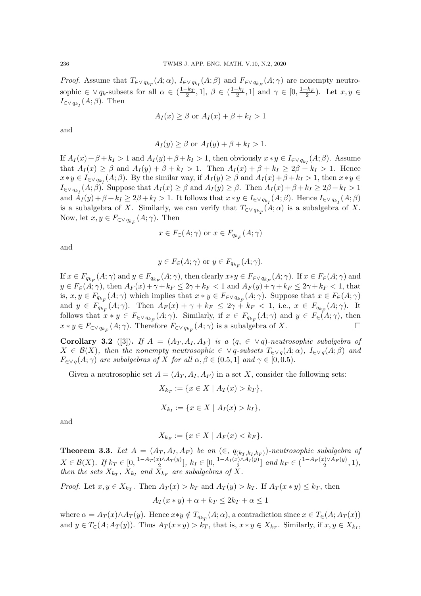*Proof.* Assume that  $T_{\in \vee q_{k_T}}(A;\alpha)$ ,  $I_{\in \vee q_{k_I}}(A;\beta)$  and  $F_{\in \vee q_{k_F}}(A;\gamma)$  are nonempty neutrosophic  $\in \vee q_k$ -subsets for all  $\alpha \in (\frac{1-k_T}{2}, 1], \ \beta \in (\frac{1-k_I}{2}, 1]$  and  $\gamma \in [0, \frac{1-k_F}{2})$ . Let  $x, y \in$  $I_{\in \vee q_{k_I}}(A;\beta)$ . Then

$$
A_I(x) \ge \beta \text{ or } A_I(x) + \beta + k_I > 1
$$

and

$$
A_I(y) \ge \beta \text{ or } A_I(y) + \beta + k_I > 1.
$$

If  $A_I(x) + \beta + k_I > 1$  and  $A_I(y) + \beta + k_I > 1$ , then obviously  $x * y \in I_{\in \vee q_{k_I}}(A;\beta)$ . Assume that  $A_I(x) \geq \beta$  and  $A_I(y) + \beta + k_I > 1$ . Then  $A_I(x) + \beta + k_I \geq 2\beta + k_I > 1$ . Hence  $x*y\in I_{\in\bigvee q_{k_I}}(A;\beta)$ . By the similar way, if  $A_I(y)\geq\beta$  and  $A_I(x)+\beta+k_I>1$ , then  $x*y\in$  $I_{\in\vee q_{k_I}}(A;\beta)$ . Suppose that  $A_I(x) \geq \beta$  and  $A_I(y) \geq \beta$ . Then  $A_I(x) + \beta + k_I \geq 2\beta + k_I > 1$ and  $A_I(y)+\beta+k_I\geq 2\beta+k_I>1$ . It follows that  $x*y\in I_{\in\bigvee q_{k_I}}(A;\beta)$ . Hence  $I_{\in\bigvee q_{k_I}}(A;\beta)$ is a subalgebra of X. Similarly, we can verify that  $T_{\in \vee q_{k_T}}(A; \alpha)$  is a subalgebra of X. Now, let  $x, y \in F_{\in \vee q_{k_F}}(A; \gamma)$ . Then

$$
x \in F_{\in}(A; \gamma)
$$
 or  $x \in F_{q_{k_F}}(A; \gamma)$ 

and

$$
y \in F_{\in}(A; \gamma)
$$
 or  $y \in F_{q_{k_F}}(A; \gamma)$ .

If  $x \in F_{q_{k_F}}(A;\gamma)$  and  $y \in F_{q_{k_F}}(A;\gamma)$ , then clearly  $x*y \in F_{\in \vee q_{k_F}}(A;\gamma)$ . If  $x \in F_{\in}(A;\gamma)$  and  $y \in F_{\in}(A; \gamma)$ , then  $A_F(x) + \gamma + k_F \leq 2\gamma + k_F < 1$  and  $A_F(y) + \gamma + k_F \leq 2\gamma + k_F < 1$ , that is,  $x, y \in F_{q_{k_F}}(A; \gamma)$  which implies that  $x * y \in F_{\in \mathcal{A}}(A; \gamma)$ . Suppose that  $x \in F_{\in}(A; \gamma)$ and  $y \in F_{q_{k_F}}(A; \gamma)$ . Then  $A_F(x) + \gamma + k_F \leq 2\gamma + k_F \leq 1$ , i.e.,  $x \in F_{q_{k_F}}(A; \gamma)$ . It follows that  $x * y \in F_{\in \vee q_{k_F}}(A; \gamma)$ . Similarly, if  $x \in F_{q_{k_F}}(A; \gamma)$  and  $y \in F_{\in}(A; \gamma)$ , then  $x * y \in F_{\in \vee q_{k_F}}(A; \gamma)$ . Therefore  $F_{\in \vee q_{k_F}}(A; \gamma)$  is a subalgebra of X.

Corollary 3.2 ([3]). If  $A = (A_T, A_I, A_F)$  is a  $(q, \in \vee q)$ -neutrosophic subalgebra of  $X \in \mathcal{B}(X)$ , then the nonempty neutrosophic  $\in \vee q$ -subsets  $T_{\in \vee q}(A;\alpha)$ ,  $I_{\in \vee q}(A;\beta)$  and  $F_{\in \vee q}(A; \gamma)$  are subalgebras of X for all  $\alpha, \beta \in (0.5, 1]$  and  $\gamma \in [0, 0.5)$ .

Given a neutrosophic set  $A = (A_T, A_I, A_F)$  in a set X, consider the following sets:

$$
X_{k_T} := \{ x \in X \mid A_T(x) > k_T \},\
$$

$$
X_{k_I} := \{ x \in X \mid A_I(x) > k_I \},\
$$

and

$$
X_{k_F} := \{ x \in X \mid A_F(x) < k_F \}.
$$

**Theorem 3.3.** Let  $A = (A_T, A_I, A_F)$  be an  $(\in, q_{(k_T, k_I, k_F)})$ -neutrosophic subalgebra of  $X \in \mathcal{B}(X)$ . If  $k_T \in [0, \frac{1 - A_T(x) \wedge A_T(y)}{2}]$  $\frac{2^{2}}{2}$ , k<sub>I</sub> ∈ [0,  $\frac{1-A_{I}(x)\wedge A_{I}(y)}{2}$  $\left[\frac{x}{2}\right]$  and  $k_F \in \left(\frac{1-A_F(x) \vee A_F(y)}{2}\right]$  $\frac{c_1 \vee A_F(y)}{2}, 1),$ then the sets  $X_{k_T}$ ,  $X_{k_I}$  and  $X_{k_F}$  are subalgebras of X.

*Proof.* Let  $x, y \in X_{k_T}$ . Then  $A_T(x) > k_T$  and  $A_T(y) > k_T$ . If  $A_T(x * y) \leq k_T$ , then  $A_T(x * y) + \alpha + k_T \leq 2k_T + \alpha \leq 1$ 

where  $\alpha = A_T(x) \wedge A_T(y)$ . Hence  $x \ast y \notin T_{q_{k_T}}(A; \alpha)$ , a contradiction since  $x \in T_{\epsilon}(A; A_T(x))$ and  $y \in T_{\in}(A; A_T(y))$ . Thus  $A_T(x * y) > k_T$ , that is,  $x * y \in X_{k_T}$ . Similarly, if  $x, y \in X_{k_T}$ ,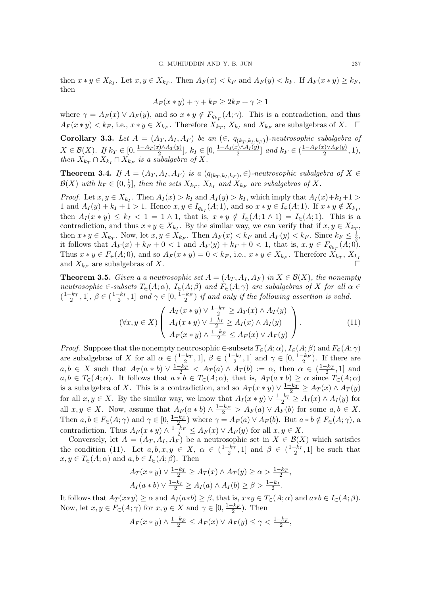then  $x * y \in X_{k_I}$ . Let  $x, y \in X_{k_F}$ . Then  $A_F(x) < k_F$  and  $A_F(y) < k_F$ . If  $A_F(x * y) \geq k_F$ , then

$$
A_F(x * y) + \gamma + k_F \ge 2k_F + \gamma \ge 1
$$

where  $\gamma = A_F(x) \vee A_F(y)$ , and so  $x * y \notin F_{q_{k_F}}(A; \gamma)$ . This is a contradiction, and thus  $A_F(x*y) < k_F$ , i.e.,  $x*y \in X_{k_F}$ . Therefore  $\overline{X}_{k_T}^r$ ,  $X_{k_I}$  and  $X_{k_F}$  are subalgebras of X.  $\Box$ 

**Corollary 3.3.** Let  $A = (A_T, A_I, A_F)$  be an  $(\in, q_{(k_T, k_I, k_F)})$ -neutrosophic subalgebra of  $X \in \mathcal{B}(X)$ . If  $k_T \in [0, \frac{1 - A_T(x) \wedge A_T(y)}{2}]$  $\frac{E\{c_1\}\wedge A_T(y)}{2}$ ,  $k_I \in [0, \frac{1-A_I(x)\wedge A_I(y)}{2}]$  $\left[\frac{x}{2}\right]$  and  $k_F \in \left(\frac{1-A_F(x)\vee A_F(y)}{2}\right]$  $\frac{z_j \vee A_F(y)}{2}, 1),$ then  $X_{k_T} \cap X_{k_I} \cap X_{k_F}$  is a subalgebra of X.

**Theorem 3.4.** If  $A = (A_T, A_I, A_F)$  is a  $(q_{(k_T, k_I, k_F)}, \in)$ -neutrosophic subalgebra of  $X \in$  $\mathcal{B}(X)$  with  $k_F \in (0, \frac{1}{2})$  $\frac{1}{2}$ , then the sets  $X_{k_T}$ ,  $X_{k_I}$  and  $X_{k_F}$  are subalgebras of X.

*Proof.* Let  $x, y \in X_{k_I}$ . Then  $A_I(x) > k_I$  and  $A_I(y) > k_I$ , which imply that  $A_I(x)+k_I+1 >$ 1 and  $A_I(y) + k_I + 1 > 1$ . Hence  $x, y \in I_{q_{k_I}}(A; 1)$ , and so  $x * y \in I_{\in}(A; 1)$ . If  $x * y \notin X_{k_I}$ , then  $A_I(x * y) \leq k_I < 1 = 1 \wedge 1$ , that is,  $x * y \notin I_{\infty}(A; 1 \wedge 1) = I_{\infty}(A; 1)$ . This is a contradiction, and thus  $x * y \in X_{k_I}$ . By the similar way, we can verify that if  $x, y \in X_{k_T}$ , then  $x * y \in X_{k_T}$ . Now, let  $x, y \in X_{k_F}$ . Then  $A_F(x) < k_F$  and  $A_F(y) < k_F$ . Since  $k_F \leq \frac{1}{2}$  $\frac{1}{2}$ , it follows that  $A_F(x) + k_F + 0 < 1$  and  $A_F(y) + k_F + 0 < 1$ , that is,  $x, y \in F_{q_{k_F}}(A; 0)$ . Thus  $x * y \in F_{\epsilon}(A; 0)$ , and so  $A_F(x * y) = 0 < k_F$ , i.e.,  $x * y \in X_{k_F}$ . Therefore  $X_{k_T}$ ,  $X_{k_T}$ and  $X_{k_F}$  are subalgebras of X.

**Theorem 3.5.** Given a a neutrosophic set  $A = (A_T, A_I, A_F)$  in  $X \in \mathcal{B}(X)$ , the nonempty neutrosophic  $\in$ -subsets  $T_{\in}(A;\alpha)$ ,  $I_{\in}(A;\beta)$  and  $F_{\in}(A;\gamma)$  are subalgebras of X for all  $\alpha \in$  $\left(\frac{1-k_T}{2}, 1\right], \beta \in \left(\frac{1-k_I}{2}, 1\right]$  and  $\gamma \in \left[0, \frac{1-k_F}{2}\right)$  if and only if the following assertion is valid.

$$
(\forall x, y \in X) \left( \begin{array}{c} A_T(x * y) \lor \frac{1 - k_T}{2} \geq A_T(x) \land A_T(y) \\ A_I(x * y) \lor \frac{1 - k_I}{2} \geq A_I(x) \land A_I(y) \\ A_F(x * y) \land \frac{1 - k_F}{2} \leq A_F(x) \lor A_F(y) \end{array} \right). \tag{11}
$$

,

*Proof.* Suppose that the nonempty neutrosophic  $\in$ -subsets  $T_{\in}(A; \alpha)$ ,  $I_{\in}(A; \beta)$  and  $F_{\in}(A; \gamma)$ are subalgebras of X for all  $\alpha \in (\frac{1-k_T}{2}, 1], \beta \in (\frac{1-k_I}{2}, 1]$  and  $\gamma \in [0, \frac{1-k_F}{2})$ . If there are  $a, b \in X$  such that  $A_T(a * b) \vee \frac{1-k_T}{2} < A_T(a) \wedge A_T(b) := \alpha$ , then  $\alpha \in (\frac{1-k_T}{2}, 1]$  and  $a, b \in T_{\in}(A; \alpha)$ . It follows that  $a * b \in T_{\in}(A; \alpha)$ , that is,  $A_T(a * b) \geq \alpha$  since  $T_{\in}(A; \alpha)$ is a subalgebra of X. This is a contradiction, and so  $A_T(x * y) \vee \frac{1-k_T}{2} \geq A_T(x) \wedge A_T(y)$ for all  $x, y \in X$ . By the similar way, we know that  $A_I(x * y) \vee \frac{1-k_I}{2} \ge A_I(x) \wedge A_I(y)$  for all  $x, y \in X$ . Now, assume that  $A_F(a * b) \wedge \frac{1-k_F}{2} > A_F(a) \vee A_F(b)$  for some  $a, b \in X$ . Then  $a, b \in F_{\in}(A; \gamma)$  and  $\gamma \in [0, \frac{1-k_F}{2})$  where  $\gamma = A_F(a) \vee A_F(b)$ . But  $a * b \notin F_{\in}(A; \gamma)$ , a contradiction. Thus  $A_F(x * y) \wedge \frac{1-k_F}{2} \leq A_F(x) \vee A_F(y)$  for all  $x, y \in X$ .

Conversely, let  $A = (A_T, A_I, A_F)$  be a neutrosophic set in  $X \in \mathcal{B}(X)$  which satisfies the condition (11). Let  $a, b, x, y \in X$ ,  $\alpha \in \left(\frac{1-k_T}{2}, 1\right]$  and  $\beta \in \left(\frac{1-k_I}{2}, 1\right]$  be such that  $x, y \in T_{\in}(A; \alpha)$  and  $a, b \in I_{\in}(A; \beta)$ . Then

$$
A_T(x*y) \lor \frac{1-k_T}{2} \ge A_T(x) \land A_T(y) \ge \alpha > \frac{1-k_T}{2}
$$
  

$$
A_I(a*b) \lor \frac{1-k_I}{2} \ge A_I(a) \land A_I(b) \ge \beta > \frac{1-k_I}{2}.
$$

It follows that  $A_T(x*y) \geq \alpha$  and  $A_I(a*b) \geq \beta$ , that is,  $x*y \in T_{\in}(A;\alpha)$  and  $a*b \in I_{\in}(A;\beta)$ . Now, let  $x, y \in F_{\in}(A; \gamma)$  for  $x, y \in X$  and  $\gamma \in [0, \frac{1-k_F}{2})$ . Then

$$
A_F(x*y)\wedge \frac{1-k_F}{2}\leq A_F(x)\vee A_F(y)\leq \gamma<\frac{1-k_F}{2},
$$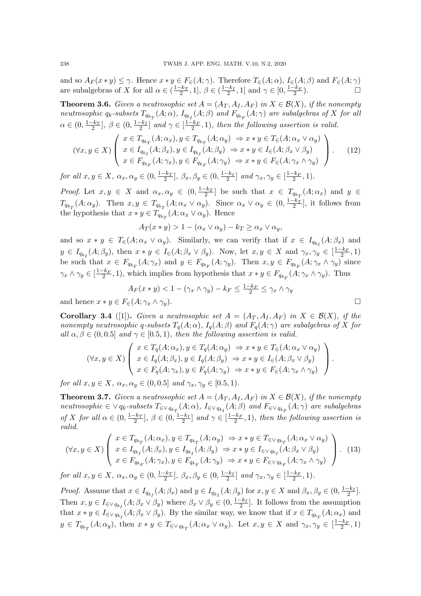and so  $A_F(x*y)\leq \gamma$ . Hence  $x*y\in F_{\in}(A;\gamma)$ . Therefore  $T_{\in}(A;\alpha)$ ,  $I_{\in}(A;\beta)$  and  $F_{\in}(A;\gamma)$ are subalgebras of X for all  $\alpha \in (\frac{1-k_T}{2}, 1], \beta \in (\frac{1-k_I}{2}, 1]$  and  $\gamma \in [0, \frac{1-k_F}{2})$ .

**Theorem 3.6.** Given a neutrosophic set  $A = (A_T, A_I, A_F)$  in  $X \in \mathcal{B}(X)$ , if the nonempty neutrosophic  $q_k$ -subsets  $T_{q_{k_T}}(A;\alpha)$ ,  $I_{q_{k_I}}(A;\beta)$  and  $F_{q_{k_F}}(A;\gamma)$  are subalgebras of X for all  $\alpha \in (0, \frac{1-k_T}{2}], \beta \in (0, \frac{1-k_I}{2}]$  and  $\gamma \in [\frac{1-k_F}{2}, 1]$ , then the following assertion is valid.

$$
(\forall x, y \in X) \left( \begin{array}{c} x \in T_{q_{k_T}}(A; \alpha_x), y \in T_{q_{k_T}}(A; \alpha_y) \Rightarrow x * y \in T_{\infty}(A; \alpha_x \vee \alpha_y) \\ x \in I_{q_{k_I}}(A; \beta_x), y \in I_{q_{k_I}}(A; \beta_y) \Rightarrow x * y \in I_{\infty}(A; \beta_x \vee \beta_y) \\ x \in F_{q_{k_F}}(A; \gamma_x), y \in F_{q_{k_F}}(A; \gamma_y) \Rightarrow x * y \in F_{\infty}(A; \gamma_x \wedge \gamma_y) \end{array} \right). \tag{12}
$$

for all  $x, y \in X$ ,  $\alpha_x, \alpha_y \in (0, \frac{1-k_T}{2}], \beta_x, \beta_y \in (0, \frac{1-k_I}{2}]$  and  $\gamma_x, \gamma_y \in [\frac{1-k_F}{2}, 1)$ .

*Proof.* Let  $x, y \in X$  and  $\alpha_x, \alpha_y \in (0, \frac{1-k_T}{2}]$  be such that  $x \in T_{q_{k_T}}(A; \alpha_x)$  and  $y \in$  $T_{q_{k_T}}(A; \alpha_y)$ . Then  $x, y \in T_{q_{k_T}}(A; \alpha_x \vee \alpha_y)$ . Since  $\alpha_x \vee \alpha_y \in (0, \frac{1-k_T}{2}]$ , it follows from the hypothesis that  $x * y \in T_{q_{k_T}}(A; \alpha_x \vee \alpha_y)$ . Hence

$$
A_T(x * y) > 1 - (\alpha_x \vee \alpha_y) - k_T \ge \alpha_x \vee \alpha_y,
$$

and so  $x * y \in T_{\in}(A; \alpha_x \vee \alpha_y)$ . Similarly, we can verify that if  $x \in I_{q_{k_1}}(A; \beta_x)$  and  $y \in I_{q_{k_I}}(A;\beta_y)$ , then  $x * y \in I_{\in}(A;\beta_x \vee \beta_y)$ . Now, let  $x, y \in X$  and  $\gamma_x, \gamma_y \in \left[\frac{1-k_F}{2}, 1\right)$ be such that  $x \in F_{q_{k_F}}(A; \gamma_x)$  and  $y \in F_{q_{k_F}}(A; \gamma_y)$ . Then  $x, y \in F_{q_{k_F}}(A; \gamma_x \wedge \gamma_y)$  since  $\gamma_x \wedge \gamma_y \in \left[\frac{1-k_F}{2}, 1\right)$ , which implies from hypothesis that  $x * y \in F_{q_{k_F}}(A; \gamma_x \wedge \gamma_y)$ . Thus

$$
A_F(x * y) < 1 - (\gamma_x \wedge \gamma_y) - k_F \le \frac{1 - k_F}{2} \le \gamma_x \wedge \gamma_y
$$
  

$$
\in F_{\in}(A; \gamma_x \wedge \gamma_y).
$$

and hence  $x * y \in$ 

**Corollary 3.4** ([1]). Given a neutrosophic set  $A = (A_T, A_I, A_F)$  in  $X \in \mathcal{B}(X)$ , if the nonempty neutrosophic q-subsets  $T_q(A; \alpha)$ ,  $I_q(A; \beta)$  and  $F_q(A; \gamma)$  are subalgebras of X for all  $\alpha, \beta \in (0, 0.5]$  and  $\gamma \in [0.5, 1)$ , then the following assertion is valid.

$$
(\forall x, y \in X) \left( \begin{array}{l} x \in T_q(A; \alpha_x), y \in T_q(A; \alpha_y) \Rightarrow x * y \in T_{\in}(A; \alpha_x \vee \alpha_y) \\ x \in I_q(A; \beta_x), y \in I_q(A; \beta_y) \Rightarrow x * y \in I_{\in}(A; \beta_x \vee \beta_y) \\ x \in F_q(A; \gamma_x), y \in F_q(A; \gamma_y) \Rightarrow x * y \in F_{\in}(A; \gamma_x \wedge \gamma_y) \end{array} \right).
$$

for all  $x, y \in X$ ,  $\alpha_x, \alpha_y \in (0, 0.5]$  and  $\gamma_x, \gamma_y \in [0.5, 1)$ .

**Theorem 3.7.** Given a neutrosophic set  $A = (A_T, A_I, A_F)$  in  $X \in \mathcal{B}(X)$ , if the nonempty neutrosophic  $\in \vee q_k$ -subsets  $T_{\in \vee q_{k_T}}(A; \alpha)$ ,  $I_{\in \vee q_{k_I}}(A; \beta)$  and  $F_{\in \vee q_{k_F}}(A; \gamma)$  are subalgebras of X for all  $\alpha \in (0, \frac{1-k_T}{2}], \beta \in (0, \frac{1-k_I}{2}]$  and  $\gamma \in [\frac{1-k_F}{2}, 1]$ , then the following assertion is valid.

$$
(\forall x, y \in X) \left( \begin{array}{c} x \in T_{q_{k_T}}(A; \alpha_x), y \in T_{q_{k_T}}(A; \alpha_y) \Rightarrow x * y \in T_{\in \vee q_{k_T}}(A; \alpha_x \vee \alpha_y) \\ x \in I_{q_{k_I}}(A; \beta_x), y \in I_{q_{k_I}}(A; \beta_y) \Rightarrow x * y \in I_{\in \vee q_{k_I}}(A; \beta_x \vee \beta_y) \\ x \in F_{q_{k_F}}(A; \gamma_x), y \in F_{q_{k_F}}(A; \gamma_y) \Rightarrow x * y \in F_{\in \vee q_{k_F}}(A; \gamma_x \wedge \gamma_y) \end{array} \right). \tag{13}
$$

for all  $x, y \in X$ ,  $\alpha_x, \alpha_y \in (0, \frac{1-k_T}{2}], \beta_x, \beta_y \in (0, \frac{1-k_I}{2}]$  and  $\gamma_x, \gamma_y \in [\frac{1-k_F}{2}, 1)$ .

*Proof.* Assume that  $x \in I_{q_{k_I}}(A; \beta_x)$  and  $y \in I_{q_{k_I}}(A; \beta_y)$  for  $x, y \in X$  and  $\beta_x, \beta_y \in (0, \frac{1-k_I}{2}]$ . Then  $x, y \in I_{\in \vee q_{k_I}}(A; \beta_x \vee \beta_y)$  where  $\beta_x \vee \beta_y \in (0, \frac{1-k_I}{2}]$ . It follows from the assumption that  $x * y \in I_{\in \vee q_{k_I}}(A; \beta_x \vee \beta_y)$ . By the similar way, we know that if  $x \in T_{q_{k_T}}(A; \alpha_x)$  and  $y \in T_{q_{k_T}}(A; \alpha_y)$ , then  $x * y \in T_{\in \vee q_{k_T}}(A; \alpha_x \vee \alpha_y)$ . Let  $x, y \in X$  and  $\gamma_x, \gamma_y \in \left[\frac{1-k_F}{2}, 1\right)$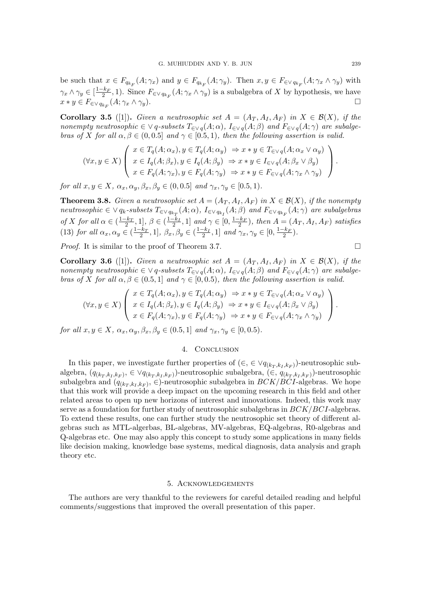be such that  $x \in F_{q_{k_F}}(A; \gamma_x)$  and  $y \in F_{q_{k_F}}(A; \gamma_y)$ . Then  $x, y \in F_{\in \vee q_{k_F}}(A; \gamma_x \wedge \gamma_y)$  with  $\gamma_x \wedge \gamma_y \in [\frac{1-k_F}{2}, 1)$ . Since  $F_{\in \vee q_{k_F}}(A; \gamma_x \wedge \gamma_y)$  is a subalgebra of X by hypothesis, we have  $x * y \in F_{\in \vee q_{kF}}(A; \gamma_x \wedge \gamma_y).$  $(A; \gamma_x \wedge \gamma_y).$ 

**Corollary 3.5** ([1]). Given a neutrosophic set  $A = (A_T, A_I, A_F)$  in  $X \in \mathcal{B}(X)$ , if the nonempty neutrosophic  $\in \vee q$ -subsets  $T_{\in \vee q}(A; \alpha)$ ,  $I_{\in \vee q}(A; \beta)$  and  $F_{\in \vee q}(A; \gamma)$  are subalgebras of X for all  $\alpha, \beta \in (0, 0.5]$  and  $\gamma \in [0.5, 1)$ , then the following assertion is valid.

$$
(\forall x, y \in X) \left( \begin{array}{l} x \in T_q(A; \alpha_x), y \in T_q(A; \alpha_y) \Rightarrow x * y \in T_{\in \vee q}(A; \alpha_x \vee \alpha_y) \\ x \in I_q(A; \beta_x), y \in I_q(A; \beta_y) \Rightarrow x * y \in I_{\in \vee q}(A; \beta_x \vee \beta_y) \\ x \in F_q(A; \gamma_x), y \in F_q(A; \gamma_y) \Rightarrow x * y \in F_{\in \vee q}(A; \gamma_x \wedge \gamma_y) \end{array} \right).
$$

for all  $x, y \in X$ ,  $\alpha_x, \alpha_y, \beta_x, \beta_y \in (0, 0.5]$  and  $\gamma_x, \gamma_y \in [0.5, 1)$ .

**Theorem 3.8.** Given a neutrosophic set  $A = (A_T, A_I, A_F)$  in  $X \in \mathcal{B}(X)$ , if the nonempty neutrosophic  $\in \vee q_k$ -subsets  $T_{\in \vee q_{k_T}}(A; \alpha)$ ,  $I_{\in \vee q_{k_I}}(A; \beta)$  and  $F_{\in \vee q_{k_F}}(A; \gamma)$  are subalgebras of X for all  $\alpha \in (\frac{1-k_T}{2}, 1], \beta \in (\frac{1-k_I}{2}, 1]$  and  $\gamma \in [0, \frac{1-k_F}{2})$ , then  $A = (A_T, A_I, A_F)$  satisfies (13) for all  $\alpha_x, \alpha_y \in (\frac{1-k_T}{2}, 1], \ \beta_x, \beta_y \in (\frac{1-k_I}{2}, 1]$  and  $\gamma_x, \gamma_y \in [0, \frac{1-k_F}{2})$ .

*Proof.* It is similar to the proof of Theorem 3.7.

**Corollary 3.6** ([1]). Given a neutrosophic set  $A = (A_T, A_I, A_F)$  in  $X \in \mathcal{B}(X)$ , if the nonempty neutrosophic  $\in \vee q$ -subsets  $T_{\in \vee q}(A; \alpha)$ ,  $I_{\in \vee q}(A; \beta)$  and  $F_{\in \vee q}(A; \gamma)$  are subalgebras of X for all  $\alpha, \beta \in (0.5, 1]$  and  $\gamma \in [0, 0.5)$ , then the following assertion is valid.

$$
(\forall x, y \in X) \left( \begin{array}{l} x \in T_q(A; \alpha_x), y \in T_q(A; \alpha_y) \Rightarrow x * y \in T_{\in \vee q}(A; \alpha_x \vee \alpha_y) \\ x \in I_q(A; \beta_x), y \in I_q(A; \beta_y) \Rightarrow x * y \in I_{\in \vee q}(A; \beta_x \vee \beta_y) \\ x \in F_q(A; \gamma_x), y \in F_q(A; \gamma_y) \Rightarrow x * y \in F_{\in \vee q}(A; \gamma_x \wedge \gamma_y) \end{array} \right).
$$

for all  $x, y \in X$ ,  $\alpha_x, \alpha_y, \beta_x, \beta_y \in (0.5, 1]$  and  $\gamma_x, \gamma_y \in [0, 0.5)$ .

# 4. CONCLUSION

In this paper, we investigate further properties of  $(\in, \in \vee q_{(k_T, k_I, k_F)})$ -neutrosophic subalgebra,  $(q_{(k_T,k_I,k_F)}, \in \vee q_{(k_T,k_I,k_F)})$ -neutrosophic subalgebra,  $(\in, q_{(k_T,k_I,k_F)})$ -neutrosophic subalgebra and  $(q_{(k_T,k_I,k_F)}, \in)$ -neutrosophic subalgebra in  $BCK/BCI$ -algebras. We hope that this work will provide a deep impact on the upcoming research in this field and other related areas to open up new horizons of interest and innovations. Indeed, this work may serve as a foundation for further study of neutrosophic subalgebras in  $BCK/BCI$ -algebras. To extend these results, one can further study the neutrosophic set theory of different algebras such as MTL-algerbas, BL-algebras, MV-algebras, EQ-algebras, R0-algebras and Q-algebras etc. One may also apply this concept to study some applications in many fields like decision making, knowledge base systems, medical diagnosis, data analysis and graph theory etc.

### 5. Acknowledgements

The authors are very thankful to the reviewers for careful detailed reading and helpful comments/suggestions that improved the overall presentation of this paper.